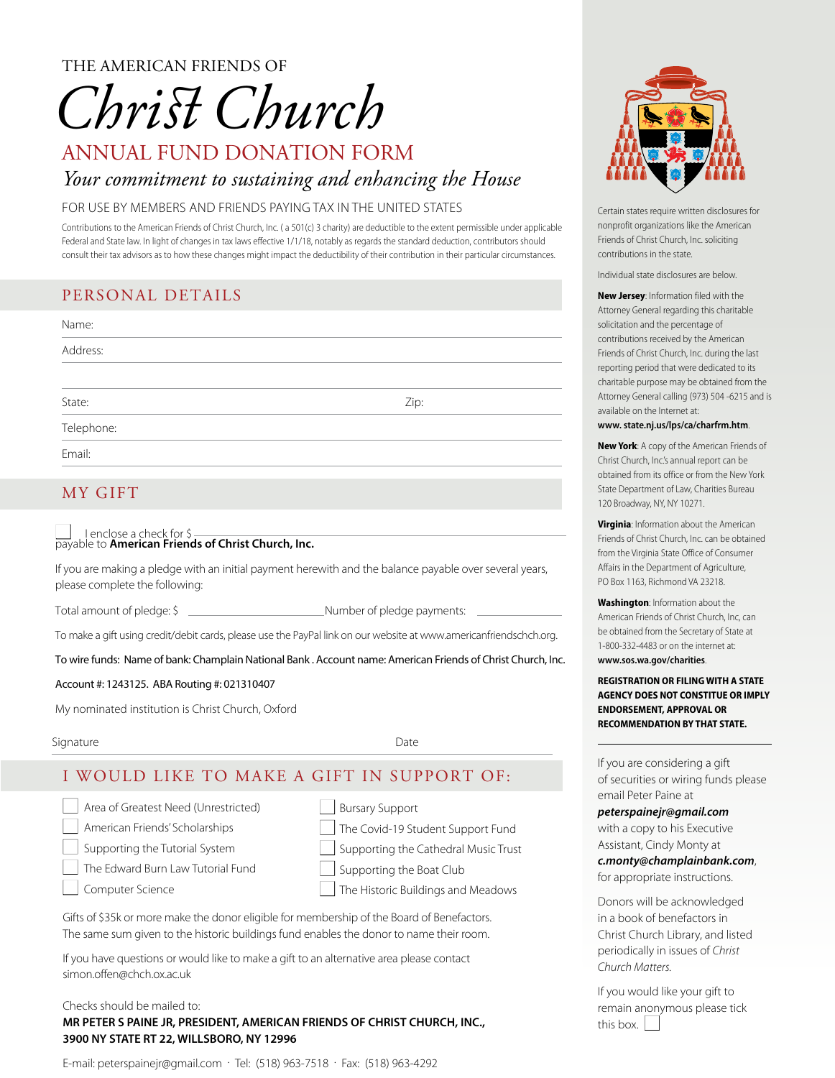THE AMERICAN FRIENDS OF

# *Chris Church*

# ANNUAL FUND DONATION FORM *Your commitment to sustaining and enhancing the House*

#### FOR USE BY MEMBERS AND FRIENDS PAYING TAX IN THE UNITED STATES

Contributions to the American Friends of Christ Church, Inc. ( a 501(c) 3 charity) are deductible to the extent permissible under applicable Federal and State law. In light of changes in tax laws effective 1/1/18, notably as regards the standard deduction, contributors should consult their tax advisors as to how these changes might impact the deductibility of their contribution in their particular circumstances.

# PERSONAL DETAILS

| Name:      |      |  |
|------------|------|--|
| Address:   |      |  |
|            |      |  |
| State:     | Zip: |  |
| Telephone: |      |  |
| Fmail:     |      |  |

## MY GIFT

#### I enclose a check for \$ payable to **American Friends of Christ Church, Inc.**

If you are making a pledge with an initial payment herewith and the balance payable over several years, please complete the following:

Total amount of pledge: \$ Number of pledge payments:

To make a gift using credit/debit cards, please use the PayPal link on our website at www.americanfriendschch.org.

To wire funds: Name of bank: Champlain National Bank . Account name: American Friends of Christ Church, Inc.

#### Account #: 1243125. ABA Routing #: 021310407

My nominated institution is Christ Church, Oxford

Signature Date Date Contract and the Date Date Date Date

# I WOULD LIKE TO MAKE A GIFT IN SUPPORT OF:

| Area of Greatest Need (Unrestricted) |  |
|--------------------------------------|--|
| American Friends' Scholarships       |  |

 $\Box$  Supporting the Tutorial System

n The Edward Burn Law Tutorial Fund

n Computer Science

- **Bursary Support** The Covid-19 Student Support Fund Supporting the Cathedral Music Trust Supporting the Boat Club
- The Historic Buildings and Meadows

Gifts of \$35k or more make the donor eligible for membership of the Board of Benefactors. The same sum given to the historic buildings fund enables the donor to name their room.

If you have questions or would like to make a gift to an alternative area please contact simon.offen@chch.ox.ac.uk

#### Checks should be mailed to:

#### **MR PETER S PAINE JR, PRESIDENT, AMERICAN FRIENDS OF CHRIST CHURCH, INC., 3900 NY STATE RT 22, WILLSBORO, NY 12996**

E-mail: peterspainejr@gmail.com . Tel: (518) 963-7518 . Fax: (518) 963-4292



Certain states require written disclosures for nonprofit organizations like the American Friends of Christ Church, Inc. soliciting contributions in the state.

Individual state disclosures are below.

**New Jersey**: Information filed with the Attorney General regarding this charitable solicitation and the percentage of contributions received by the American Friends of Christ Church, Inc. during the last reporting period that were dedicated to its charitable purpose may be obtained from the Attorney General calling (973) 504 -6215 and is available on the Internet at:

#### **www. state.nj.us/lps/ca/charfrm.htm**.

**New York**: A copy of the American Friends of Christ Church, Inc.'s annual report can be obtained from its office or from the New York State Department of Law, Charities Bureau 120 Broadway, NY, NY 10271.

**Virginia**: Information about the American Friends of Christ Church, Inc. can be obtained from the Virginia State Office of Consumer Affairs in the Department of Agriculture, PO Box 1163, Richmond VA 23218.

**Washington**: Information about the American Friends of Christ Church, Inc, can be obtained from the Secretary of State at 1-800-332-4483 or on the internet at: **www.sos.wa.gov/charities**.

**REGISTRATION OR FILING WITH A STATE AGENCY DOES NOT CONSTITUE OR IMPLY ENDORSEMENT, APPROVAL OR RECOMMENDATION BY THAT STATE.**

If you are considering a gift of securities or wiring funds please email Peter Paine at

*peterspainejr@gmail.com*

with a copy to his Executive Assistant, Cindy Monty at *c.monty@champlainbank.com*, for appropriate instructions.

Donors will be acknowledged in a book of benefactors in Christ Church Library, and listed periodically in issues of *Christ Church Matters.*

If you would like your gift to remain anonymous please tick this box.  $\vert$